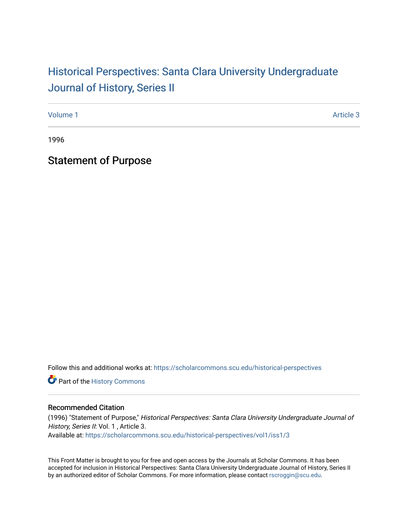## Historical Perspectiv[es: Santa Clara University Under](https://scholarcommons.scu.edu/historical-perspectives)graduate [Journal of History, Series II](https://scholarcommons.scu.edu/historical-perspectives)

[Volume 1](https://scholarcommons.scu.edu/historical-perspectives/vol1) Article 3

1996

Statement of Purpose

Follow this and additional works at: [https://scholarcommons.scu.edu/historical-perspectives](https://scholarcommons.scu.edu/historical-perspectives?utm_source=scholarcommons.scu.edu%2Fhistorical-perspectives%2Fvol1%2Fiss1%2F3&utm_medium=PDF&utm_campaign=PDFCoverPages) 

Part of the [History Commons](http://network.bepress.com/hgg/discipline/489?utm_source=scholarcommons.scu.edu%2Fhistorical-perspectives%2Fvol1%2Fiss1%2F3&utm_medium=PDF&utm_campaign=PDFCoverPages) 

## Recommended Citation

(1996) "Statement of Purpose," Historical Perspectives: Santa Clara University Undergraduate Journal of History, Series II: Vol. 1, Article 3. Available at: [https://scholarcommons.scu.edu/historical-perspectives/vol1/iss1/3](https://scholarcommons.scu.edu/historical-perspectives/vol1/iss1/3?utm_source=scholarcommons.scu.edu%2Fhistorical-perspectives%2Fvol1%2Fiss1%2F3&utm_medium=PDF&utm_campaign=PDFCoverPages) 

This Front Matter is brought to you for free and open access by the Journals at Scholar Commons. It has been accepted for inclusion in Historical Perspectives: Santa Clara University Undergraduate Journal of History, Series II by an authorized editor of Scholar Commons. For more information, please contact [rscroggin@scu.edu.](mailto:rscroggin@scu.edu)